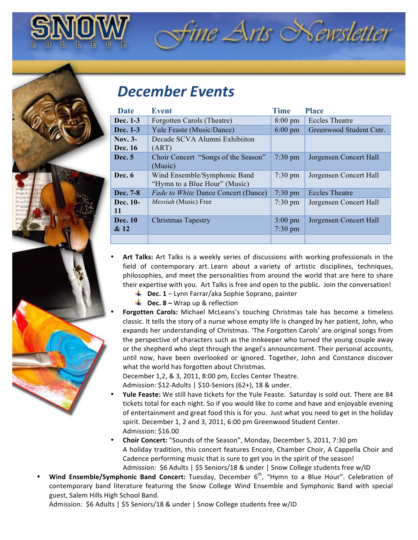

## *December'Events*

| Date           | <b>Event</b>                               | <b>Time</b>       | <b>Place</b>            |
|----------------|--------------------------------------------|-------------------|-------------------------|
| Dec. 1-3       | Forgotten Carols (Theatre)                 | $8:00 \text{ pm}$ | <b>Eccles Theatre</b>   |
| Dec. 1-3       | Yule Feaste (Music/Dance)                  | $6:00 \text{ pm}$ | Greenwood Student Cntr. |
| Nov. $3-$      | Decade SCVA Alumni Exhibiiton              |                   |                         |
| Dec. 16        | (ART)                                      |                   |                         |
| Dec. 5         | Choir Concert "Songs of the Season"        | $7:30 \text{ pm}$ | Jorgensen Concert Hall  |
|                | (Music)                                    |                   |                         |
| Dec. 6         | Wind Ensemble/Symphonic Band               | $7:30 \text{ pm}$ | Jorgensen Concert Hall  |
|                | "Hymn to a Blue Hour" (Music)              |                   |                         |
| Dec. 7-8       | <i>Fade to White Dance Concert (Dance)</i> | $7:30 \text{ pm}$ | <b>Eccles Theatre</b>   |
| Dec. 10-       | Messiah (Music) Free                       | $7:30 \text{ pm}$ | Jorgensen Concert Hall  |
| 11             |                                            |                   |                         |
| <b>Dec.</b> 10 | <b>Christmas Tapestry</b>                  | $3:00 \text{ pm}$ | Jorgensen Concert Hall  |
| & 12           |                                            | $7:30 \text{ pm}$ |                         |
|                |                                            |                   |                         |

ine Arts Newsletter

- **Art Talks:** Art Talks is a weekly series of discussions with working professionals in the field of contemporary art. Learn about a variety of artistic disciplines, techniques, philosophies, and meet the personalities from around the world that are here to share their expertise with you. Art Talks is free and open to the public. Join the conversation!
	- **L** Dec. 1 Lynn Farrar/aka Sophie Soprano, painter
	- **L** Dec. 8 Wrap up & reflection
- Forgotten Carols: Michael McLeans's touching Christmas tale has become a timeless classic. It tells the story of a nurse whose empty life is changed by her patient, John, who expands her understanding of Christmas. 'The Forgotten Carols' are original songs from the perspective of characters such as the innkeeper who turned the young couple away or the shepherd who slept through the angel's announcement. Their personal accounts, until now, have been overlooked or ignored. Together, John and Constance discover what the world has forgotten about Christmas.

December 1,2, & 3, 2011, 8:00 pm, Eccles Center Theatre.

Admission:  $$12$ -Adults |  $$10$ -Seniors (62+), 18 & under.

- **Yule Feaste:** We still have tickets for the Yule Feaste. Saturday is sold out. There are 84 tickets total for each night. So if you would like to come and have and enjoyable evening of entertainment and great food this is for you. Just what you need to get in the holiday spirit. December 1, 2 and 3, 2011, 6:00 pm Greenwood Student Center. Admission: \$16.00
- **Choir Concert:** "Sounds of the Season", Monday, December 5, 2011, 7:30 pm A holiday tradition, this concert features Encore, Chamber Choir, A Cappella Choir and Cadence performing music that is sure to get you in the spirit of the season! Admission: \$6 Adults | \$5 Seniors/18 & under | Snow College students free w/ID
- **Wind Ensemble/Symphonic Band Concert:** Tuesday, December 6<sup>th</sup>, "Hymn to a Blue Hour". Celebration of contemporary band literature featuring the Snow College Wind Ensemble and Symphonic Band with special guest, Salem Hills High School Band.

Admission: \$6 Adults | \$5 Seniors/18 & under | Snow College students free w/ID